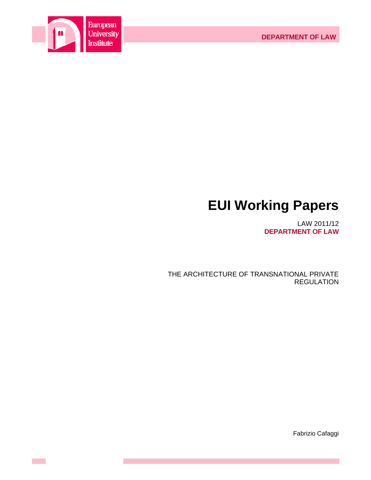



 $\sim 10^{-1}$ 

# **EUI Working Papers**

LAW 2011/12 **DEPARTMENT OF LAW**

THE ARCHITECTURE OF TRANSNATIONAL PRIVATE REGULATION

Fabrizio Cafaggi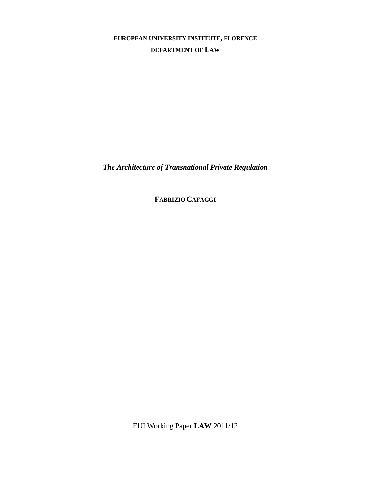# **EUROPEAN UNIVERSITY INSTITUTE, FLORENCE DEPARTMENT OF LAW**

*The Architecture of Transnational Private Regulation* 

**FABRIZIO CAFAGGI**

EUI Working Paper **LAW** 2011/12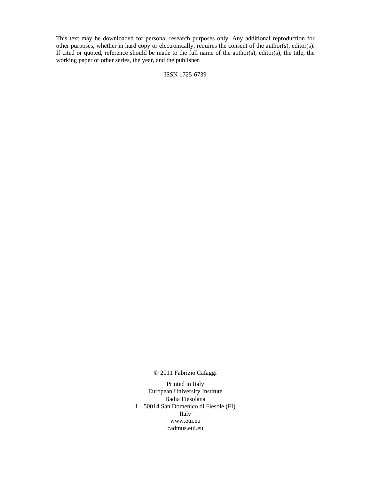This text may be downloaded for personal research purposes only. Any additional reproduction for other purposes, whether in hard copy or electronically, requires the consent of the author(s), editor(s). If cited or quoted, reference should be made to the full name of the author(s), editor(s), the title, the working paper or other series, the year, and the publisher.

# ISSN 1725-6739

© 2011 Fabrizio Cafaggi

Printed in Italy European University Institute Badia Fiesolana I – 50014 San Domenico di Fiesole (FI) Italy www.eui.eu cadmus.eui.eu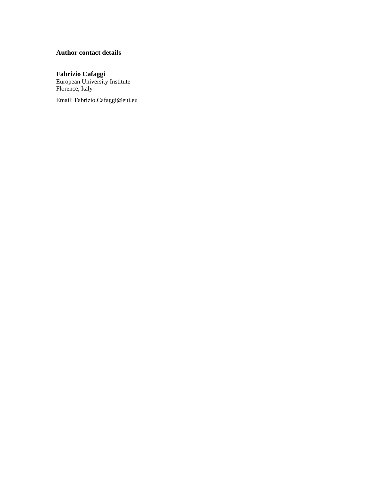# **Author contact details**

# **Fabrizio Cafaggi**

European University Institute Florence, Italy

Email: Fabrizio.Cafaggi@eui.eu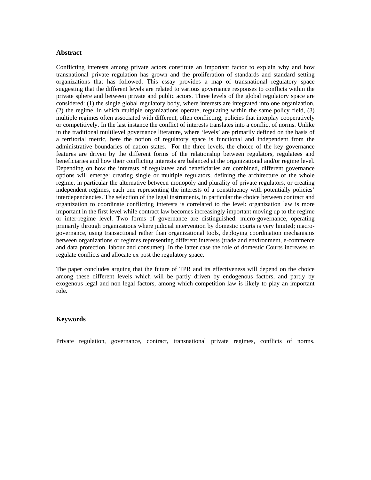# **Abstract**

Conflicting interests among private actors constitute an important factor to explain why and how transnational private regulation has grown and the proliferation of standards and standard setting organizations that has followed. This essay provides a map of transnational regulatory space suggesting that the different levels are related to various governance responses to conflicts within the private sphere and between private and public actors. Three levels of the global regulatory space are considered: (1) the single global regulatory body, where interests are integrated into one organization, (2) the regime, in which multiple organizations operate, regulating within the same policy field, (3) multiple regimes often associated with different, often conflicting, policies that interplay cooperatively or competitively. In the last instance the conflict of interests translates into a conflict of norms. Unlike in the traditional multilevel governance literature, where 'levels' are primarily defined on the basis of a territorial metric, here the notion of regulatory space is functional and independent from the administrative boundaries of nation states. For the three levels, the choice of the key governance features are driven by the different forms of the relationship between regulators, regulatees and beneficiaries and how their conflicting interests are balanced at the organizational and/or regime level. Depending on how the interests of regulatees and beneficiaries are combined, different governance options will emerge: creating single or multiple regulators, defining the architecture of the whole regime, in particular the alternative between monopoly and plurality of private regulators, or creating independent regimes, each one representing the interests of a constituency with potentially policies' interdependencies. The selection of the legal instruments, in particular the choice between contract and organization to coordinate conflicting interests is correlated to the level: organization law is more important in the first level while contract law becomes increasingly important moving up to the regime or inter-regime level. Two forms of governance are distinguished: micro-governance, operating primarily through organizations where judicial intervention by domestic courts is very limited; macrogovernance, using transactional rather than organizational tools, deploying coordination mechanisms between organizations or regimes representing different interests (trade and environment, e-commerce and data protection, labour and consumer). In the latter case the role of domestic Courts increases to regulate conflicts and allocate ex post the regulatory space.

The paper concludes arguing that the future of TPR and its effectiveness will depend on the choice among these different levels which will be partly driven by endogenous factors, and partly by exogenous legal and non legal factors, among which competition law is likely to play an important role.

# **Keywords**

Private regulation, governance, contract, transnational private regimes, conflicts of norms.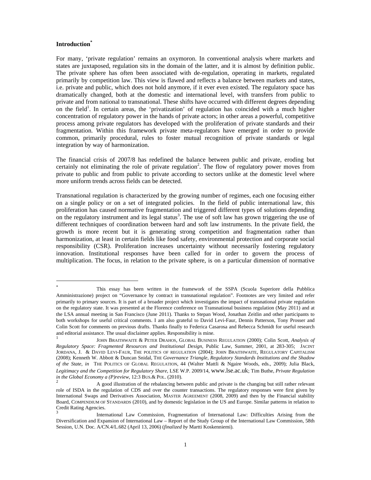# **Introduction\***

l

For many, 'private regulation' remains an oxymoron. In conventional analysis where markets and states are juxtaposed, regulation sits in the domain of the latter, and it is almost by definition public. The private sphere has often been associated with de-regulation, operating in markets, regulated primarily by competition law. This view is flawed and reflects a balance between markets and states, i.e. private and public, which does not hold anymore, if it ever even existed. The regulatory space has dramatically changed, both at the domestic and international level, with transfers from public to private and from national to transnational. These shifts have occurred with different degrees depending on the field<sup>1</sup>. In certain areas, the 'privatization' of regulation has coincided with a much higher concentration of regulatory power in the hands of private actors; in other areas a powerful, competitive process among private regulators has developed with the proliferation of private standards and their fragmentation. Within this framework private meta-regulators have emerged in order to provide common, primarily procedural, rules to foster mutual recognition of private standards or legal integration by way of harmonization.

The financial crisis of 2007/8 has redefined the balance between public and private, eroding but certainly not eliminating the role of private regulation<sup>2</sup>. The flow of regulatory power moves from private to public and from public to private according to sectors unlike at the domestic level where more uniform trends across fields can be detected.

Transnational regulation is characterized by the growing number of regimes, each one focusing either on a single policy or on a set of integrated policies. In the field of public international law, this proliferation has caused normative fragmentation and triggered different types of solutions depending on the regulatory instrument and its legal status<sup>3</sup>. The use of soft law has grown triggering the use of different techniques of coordination between hard and soft law instruments. In the private field, the growth is more recent but it is generating strong competition and fragmentation rather than harmonization, at least in certain fields like food safety, environmental protection and corporate social responsibility (CSR). Proliferation increases uncertainty without necessarily fostering regulatory innovation. Institutional responses have been called for in order to govern the process of multiplication. The focus, in relation to the private sphere, is on a particular dimension of normative

<sup>\*</sup> This essay has been written in the framework of the SSPA (Scuola Superiore della Pubblica Amministrazione) project on "Governance by contract in transnational regulation". Footnotes are very limited and refer primarily to primary sources. It is part of a broader project which investigates the impact of transnational private regulation on the regulatory state. It was presented at the Florence conference on Transnational business regulation (May 2011) and at the LSA annual meeting in San Francisco (June 2011). Thanks to Stepan Wood, Jonathan Zeitlin and other participants to both workshops for useful critical comments. I am also grateful to David Levi-Faur, Dennis Patterson, Tony Prosser and Colin Scott for comments on previous drafts. Thanks finally to Federica Casarosa and Rebecca Schmidt for useful research and editorial assistance. The usual disclaimer applies. Responsibility is mine.

<sup>1</sup> JOHN BRAITHWAITE & PETER DRAHOS, GLOBAL BUSINESS REGULATION (2000); Colin Scott, *Analysis of Regulatory Space: Fragmented Resources and Institutional Design*, Public Law, Summer, 2001, at 283-305; JACINT JORDANA, J. & DAVID LEVI-FAUR, THE POLITICS OF REGULATION (2004); JOHN BRAITHWAITE, REGULATORY CAPITALISM (2008); Kenneth W. Abbott & Duncan Snidal, THE *Governance Triangle, Regulatory Standards Institutions and the Shadow of the State, in* THE POLITICS OF GLOBAL REGULATION, 44 (Walter Mattli & Ngaire Woods, eds., 2009); Julia Black, *Legitimacy and the Competition for Regulatory Share*, LSE W.P. 2009/14, www.lse.ac.uk; Tim Buthe, *Private Regulation in the Global Economy a (P)review*, 12:3 BUS.& POL. (2010). 2

A good illustration of the rebalancing between public and private is the changing but still rather relevant role of ISDA in the regulation of CDS and over the counter transactions. The regulatory responses were first given by International Swaps and Derivatives Association, MASTER AGREEMENT (2008, 2009) and then by the Financial stability Board, COMPENDIUM OF STANDARDS (2010), and by domestic legislation in the US and Europe. Similar patterns in relation to Credit Rating Agencies.

<sup>3</sup> International Law Commission, Fragmentation of International Law: Difficulties Arising from the Diversification and Expansion of International Law – Report of the Study Group of the International Law Commission, 58th Session, U.N. Doc. A/CN.4/L.682 (April 13, 2006) (*finalized by* Martti Koskenniemi).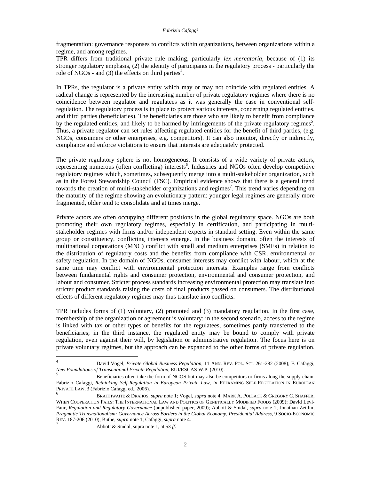fragmentation: governance responses to conflicts within organizations, between organizations within a regime, and among regimes.

TPR differs from traditional private rule making, particularly *lex mercatoria*, because of (1) its stronger regulatory emphasis, (2) the identity of participants in the regulatory process - particularly the role of NGOs - and  $(3)$  the effects on third parties<sup>4</sup>.

In TPRs, the regulator is a private entity which may or may not coincide with regulated entities. A radical change is represented by the increasing number of private regulatory regimes where there is no coincidence between regulator and regulatees as it was generally the case in conventional selfregulation. The regulatory process is in place to protect various interests, concerning regulated entities, and third parties (beneficiaries). The beneficiaries are those who are likely to benefit from compliance by the regulated entities, and likely to be harmed by infringements of the private regulatory regimes<sup>5</sup>. Thus, a private regulator can set rules affecting regulated entities for the benefit of third parties, (e.g. NGOs, consumers or other enterprises, e.g. competitors). It can also monitor, directly or indirectly, compliance and enforce violations to ensure that interests are adequately protected.

The private regulatory sphere is not homogeneous. It consists of a wide variety of private actors, representing numerous (often conflicting) interests<sup>6</sup>. Industries and NGOs often develop competitive regulatory regimes which, sometimes, subsequently merge into a multi-stakeholder organization, such as in the Forest Stewardship Council (FSC). Empirical evidence shows that there is a general trend towards the creation of multi-stakeholder organizations and regimes<sup>7</sup>. This trend varies depending on the maturity of the regime showing an evolutionary pattern: younger legal regimes are generally more fragmented, older tend to consolidate and at times merge.

Private actors are often occupying different positions in the global regulatory space. NGOs are both promoting their own regulatory regimes, especially in certification, and participating in multistakeholder regimes with firms and/or independent experts in standard setting. Even within the same group or constituency, conflicting interests emerge. In the business domain, often the interests of multinational corporations (MNC) conflict with small and medium enterprises (SMEs) in relation to the distribution of regulatory costs and the benefits from compliance with CSR, environmental or safety regulation. In the domain of NGOs, consumer interests may conflict with labour, which at the same time may conflict with environmental protection interests. Examples range from conflicts between fundamental rights and consumer protection, environmental and consumer protection, and labour and consumer. Stricter process standards increasing environmental protection may translate into stricter product standards raising the costs of final products passed on consumers. The distributional effects of different regulatory regimes may thus translate into conflicts.

TPR includes forms of (1) voluntary, (2) promoted and (3) mandatory regulation. In the first case, membership of the organization or agreement is voluntary; in the second scenario, access to the regime is linked with tax or other types of benefits for the regulatees, sometimes partly transferred to the beneficiaries; in the third instance, the regulated entity may be bound to comply with private regulation, even against their will, by legislation or administrative regulation. The focus here is on private voluntary regimes, but the approach can be expanded to the other forms of private regulation.

 $\frac{1}{4}$  David Vogel, *Private Global Business Regulation*, 11 ANN. REV. POL. SCI. 261-282 (2008); F. Cafaggi, *New Foundations of Transnational Private Regulation*, EUI/RSCAS W.P. (2010).

<sup>5</sup> Beneficiaries often take the form of NGOS but may also be competitors or firms along the supply chain. Fabrizio Cafaggi, *Rethinking Self-Regulation in European Private Law, in* REFRAMING SELF-REGULATION IN EUROPEAN PRIVATE LAW, 3 (Fabrizio Cafaggi ed., 2006). 6 BRAITHWAITE & DRAHOS, *supra* note 1; Vogel, *supra* note 4; MARK A. POLLACK & GREGORY C. SHAFFER,

WHEN COOPERATION FAILS: THE INTERNATIONAL LAW AND POLITICS OF GENETICALLY MODIFIED FOODS (2009); David Levi-Faur, *Regulation and Regulatory Governance* (unpublished paper, 2009); Abbott & Snidal, *supra* note 1; Jonathan Zeitlin, *Pragmatic Transnationalism: Governance Across Borders in the Global Economy, Presidential Address*, 9 SOCIO-ECONOMIC REV. 187-206 (2010), Buthe, *supra* note 1; Cafaggi, *supra* note 4.<br> *Abbott & Snidal, supra note 1, at 53 ff.*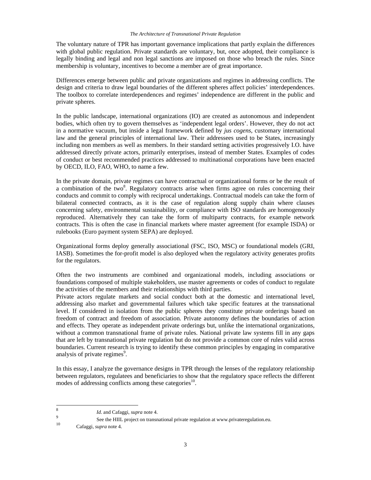#### *The Architecture of Transnational Private Regulation*

The voluntary nature of TPR has important governance implications that partly explain the differences with global public regulation. Private standards are voluntary, but, once adopted, their compliance is legally binding and legal and non legal sanctions are imposed on those who breach the rules. Since membership is voluntary, incentives to become a member are of great importance.

Differences emerge between public and private organizations and regimes in addressing conflicts. The design and criteria to draw legal boundaries of the different spheres affect policies' interdependences. The toolbox to correlate interdependences and regimes' independence are different in the public and private spheres.

In the public landscape, international organizations (IO) are created as autonomous and independent bodies, which often try to govern themselves as 'independent legal orders'. However, they do not act in a normative vacuum, but inside a legal framework defined by *jus cogens*, customary international law and the general principles of international law. Their addressees used to be States, increasingly including non members as well as members. In their standard setting activities progressively I.O. have addressed directly private actors, primarily enterprises, instead of member States. Examples of codes of conduct or best recommended practices addressed to multinational corporations have been enacted by OECD, ILO, FAO, WHO, to name a few.

In the private domain, private regimes can have contractual or organizational forms or be the result of a combination of the two<sup>8</sup>. Regulatory contracts arise when firms agree on rules concerning their conducts and commit to comply with reciprocal undertakings. Contractual models can take the form of bilateral connected contracts, as it is the case of regulation along supply chain where clauses concerning safety, environmental sustainability, or compliance with ISO standards are homogenously reproduced. Alternatively they can take the form of multiparty contracts, for example network contracts. This is often the case in financial markets where master agreement (for example ISDA) or rulebooks (Euro payment system SEPA) are deployed.

Organizational forms deploy generally associational (FSC, ISO, MSC) or foundational models (GRI, IASB). Sometimes the for-profit model is also deployed when the regulatory activity generates profits for the regulators.

Often the two instruments are combined and organizational models, including associations or foundations composed of multiple stakeholders, use master agreements or codes of conduct to regulate the activities of the members and their relationships with third parties.

Private actors regulate markets and social conduct both at the domestic and international level, addressing also market and governmental failures which take specific features at the transnational level. If considered in isolation from the public spheres they constitute private orderings based on freedom of contract and freedom of association. Private autonomy defines the boundaries of action and effects. They operate as independent private orderings but, unlike the international organizations, without a common transnational frame of private rules. National private law systems fill in any gaps that are left by transnational private regulation but do not provide a common core of rules valid across boundaries. Current research is trying to identify these common principles by engaging in comparative analysis of private regimes<sup>9</sup>.

In this essay, I analyze the governance designs in TPR through the lenses of the regulatory relationship between regulators, regulatees and beneficiaries to show that the regulatory space reflects the different modes of addressing conflicts among these categories<sup>10</sup>.

 $\,$  8  $\,$ <sup>8</sup>*Id*. and Cafaggi, *supra* note 4.

<sup>&</sup>lt;sup>9</sup> See the HIIL project on transnational private regulation at www.private regulation.eu.

Cafaggi, *supra* note 4.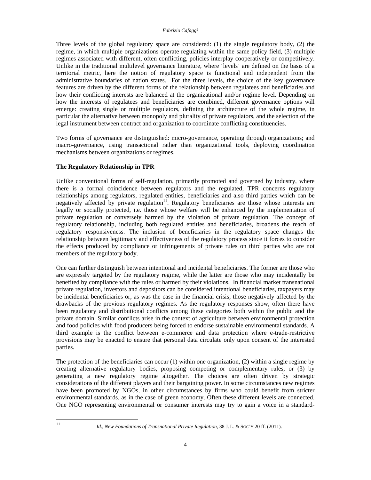Three levels of the global regulatory space are considered: (1) the single regulatory body, (2) the regime, in which multiple organizations operate regulating within the same policy field, (3) multiple regimes associated with different, often conflicting, policies interplay cooperatively or competitively. Unlike in the traditional multilevel governance literature, where 'levels' are defined on the basis of a territorial metric, here the notion of regulatory space is functional and independent from the administrative boundaries of nation states. For the three levels, the choice of the key governance features are driven by the different forms of the relationship between regulatees and beneficiaries and how their conflicting interests are balanced at the organizational and/or regime level. Depending on how the interests of regulatees and beneficiaries are combined, different governance options will emerge: creating single or multiple regulators, defining the architecture of the whole regime, in particular the alternative between monopoly and plurality of private regulators, and the selection of the legal instrument between contract and organization to coordinate conflicting constituencies.

Two forms of governance are distinguished: micro-governance, operating through organizations; and macro-governance, using transactional rather than organizational tools, deploying coordination mechanisms between organizations or regimes.

# **The Regulatory Relationship in TPR**

Unlike conventional forms of self-regulation, primarily promoted and governed by industry, where there is a formal coincidence between regulators and the regulated, TPR concerns regulatory relationships among regulators, regulated entities, beneficiaries and also third parties which can be negatively affected by private regulation<sup>11</sup>. Regulatory beneficiaries are those whose interests are legally or socially protected, i.e*.* those whose welfare will be enhanced by the implementation of private regulation or conversely harmed by the violation of private regulation. The concept of regulatory relationship, including both regulated entities and beneficiaries, broadens the reach of regulatory responsiveness. The inclusion of beneficiaries in the regulatory space changes the relationship between legitimacy and effectiveness of the regulatory process since it forces to consider the effects produced by compliance or infringements of private rules on third parties who are not members of the regulatory body.

One can further distinguish between intentional and incidental beneficiaries. The former are those who are expressly targeted by the regulatory regime, while the latter are those who may incidentally be benefited by compliance with the rules or harmed by their violations. In financial market transnational private regulation, investors and depositors can be considered intentional beneficiaries, taxpayers may be incidental beneficiaries or, as was the case in the financial crisis, those negatively affected by the drawbacks of the previous regulatory regimes. As the regulatory responses show, often there have been regulatory and distributional conflicts among these categories both within the public and the private domain. Similar conflicts arise in the context of agriculture between environmental protection and food policies with food producers being forced to endorse sustainable environmental standards. A third example is the conflict between e-commerce and data protection where e-trade-restrictive provisions may be enacted to ensure that personal data circulate only upon consent of the interested parties.

The protection of the beneficiaries can occur (1) within one organization, (2) within a single regime by creating alternative regulatory bodies, proposing competing or complementary rules, or (3) by generating a new regulatory regime altogether. The choices are often driven by strategic considerations of the different players and their bargaining power. In some circumstances new regimes have been promoted by NGOs, in other circumstances by firms who could benefit from stricter environmental standards, as in the case of green economy. Often these different levels are connected. One NGO representing environmental or consumer interests may try to gain a voice in a standard-

 $11$ 

<sup>11</sup> *Id*., *New Foundations of Transnational Private Regulation*, 38 J. L. & SOC'Y 20 ff. (2011).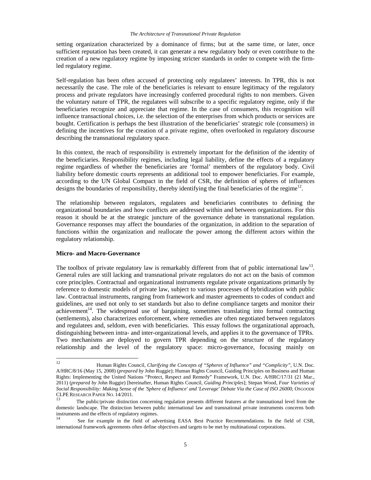#### *The Architecture of Transnational Private Regulation*

setting organization characterized by a dominance of firms; but at the same time, or later, once sufficient reputation has been created, it can generate a new regulatory body or even contribute to the creation of a new regulatory regime by imposing stricter standards in order to compete with the firmled regulatory regime.

Self-regulation has been often accused of protecting only regulatees' interests. In TPR, this is not necessarily the case. The role of the beneficiaries is relevant to ensure legitimacy of the regulatory process and private regulators have increasingly conferred procedural rights to non members. Given the voluntary nature of TPR, the regulatees will subscribe to a specific regulatory regime, only if the beneficiaries recognize and appreciate that regime. In the case of consumers, this recognition will influence transactional choices, i.e. the selection of the enterprises from which products or services are bought. Certification is perhaps the best illustration of the beneficiaries' strategic role (consumers) in defining the incentives for the creation of a private regime, often overlooked in regulatory discourse describing the transnational regulatory space.

In this context, the reach of responsibility is extremely important for the definition of the identity of the beneficiaries. Responsibility regimes, including legal liability, define the effects of a regulatory regime regardless of whether the beneficiaries are 'formal' members of the regulatory body. Civil liability before domestic courts represents an additional tool to empower beneficiaries. For example, according to the UN Global Compact in the field of CSR, the definition of spheres of influences designs the boundaries of responsibility, thereby identifying the final beneficiaries of the regime<sup>12</sup>.

The relationship between regulators, regulatees and beneficiaries contributes to defining the organizational boundaries and how conflicts are addressed within and between organizations. For this reason it should be at the strategic juncture of the governance debate in transnational regulation. Governance responses may affect the boundaries of the organization, in addition to the separation of functions within the organization and reallocate the power among the different actors within the regulatory relationship.

# **Micro- and Macro-Governance**

The toolbox of private regulatory law is remarkably different from that of public international law<sup>13</sup>. General rules are still lacking and transnational private regulators do not act on the basis of common core principles. Contractual and organizational instruments regulate private organizations primarily by reference to domestic models of private law, subject to various processes of hybridization with public law. Contractual instruments, ranging from framework and master agreements to codes of conduct and guidelines, are used not only to set standards but also to define compliance targets and monitor their  $a$ chievement<sup>14</sup>. The widespread use of bargaining, sometimes translating into formal contracting (settlements), also characterizes enforcement, where remedies are often negotiated between regulators and regulatees and, seldom, even with beneficiaries. This essay follows the organizational approach, distinguishing between intra- and inter-organizational levels, and applies it to the governance of TPRs. Two mechanisms are deployed to govern TPR depending on the structure of the regulatory relationship and the level of the regulatory space: micro-governance, focusing mainly on

<sup>12</sup> 12 Human Rights Council, *Clarifying the Concepts of "Spheres of Influence" and "Complicity"*, U.N. Doc. A/HRC/8/16 (May 15, 2008) (*prepared by* John Ruggie); Human Rights Council, Guiding Principles on Business and Human Rights: Implementing the United Nations "Protect, Respect and Remedy" Framework, U.N. Doc. A/HRC/17/31 (21 Mar., 2011) (*prepared by* John Ruggie) [hereinafter, Human Rights Council, *Guiding Principles*]; Stepan Wood, *Four Varieties of Social Responsibility: Making Sense of the 'Sphere of Influence' and 'Leverage' Debate Via the Case of ISO 26000*, OSGOODE CLPE RESEARCH PAPER NO. 14/2011.

The public/private distinction concerning regulation presents different features at the transnational level from the domestic landscape. The distinction between public international law and transnational private instruments concerns both instruments and the effects of regulatory regimes.

See for example in the field of advertising EASA Best Practice Recommendations. In the field of CSR, international framework agreements often define objectives and targets to be met by multinational corporations.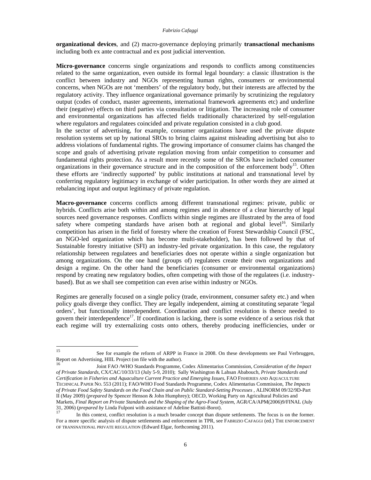**organizational devices**, and (2) macro-governance deploying primarily **transactional mechanisms** including both ex ante contractual and ex post judicial intervention.

**Micro-governance** concerns single organizations and responds to conflicts among constituencies related to the same organization, even outside its formal legal boundary: a classic illustration is the conflict between industry and NGOs representing human rights, consumers or environmental concerns, when NGOs are not 'members' of the regulatory body, but their interests are affected by the regulatory activity. They influence organizational governance primarily by scrutinizing the regulatory output (codes of conduct, master agreements, international framework agreements etc) and underline their (negative) effects on third parties via consultation or litigation. The increasing role of consumer and environmental organizations has affected fields traditionally characterized by self-regulation where regulators and regulatees coincided and private regulation consisted in a club good.

In the sector of advertising, for example, consumer organizations have used the private dispute resolution systems set up by national SROs to bring claims against misleading advertising but also to address violations of fundamental rights. The growing importance of consumer claims has changed the scope and goals of advertising private regulation moving from unfair competition to consumer and fundamental rights protection. As a result more recently some of the SROs have included consumer organizations in their governance structure and in the composition of the enforcement body<sup>15</sup>. Often these efforts are 'indirectly supported' by public institutions at national and transnational level by conferring regulatory legitimacy in exchange of wider participation. In other words they are aimed at rebalancing input and output legitimacy of private regulation.

**Macro-governance** concerns conflicts among different transnational regimes: private, public or hybrids. Conflicts arise both within and among regimes and in absence of a clear hierarchy of legal sources need governance responses. Conflicts within single regimes are illustrated by the area of food safety where competing standards have arisen both at regional and global level<sup>16</sup>. Similarly competition has arisen in the field of forestry where the creation of Forest Stewardship Council (FSC, an NGO-led organization which has become multi-stakeholder), has been followed by that of Sustainable forestry initiative (SFI) an industry-led private organization. In this case, the regulatory relationship between regulatees and beneficiaries does not operate within a single organization but among organizations. On the one hand (groups of) regulatees create their own organizations and design a regime. On the other hand the beneficiaries (consumer or environmental organizations) respond by creating new regulatory bodies, often competing with those of the regulatees (i.e. industrybased). But as we shall see competition can even arise within industry or NGOs.

Regimes are generally focused on a single policy (trade, environment, consumer safety etc.) and when policy goals diverge they conflict. They are legally independent, aiming at constituting separate 'legal orders', but functionally interdependent. Coordination and conflict resolution is thence needed to govern their interdependence<sup>17</sup>. If coordination is lacking, there is some evidence of a serious risk that each regime will try externalizing costs onto others, thereby producing inefficiencies, under or

<sup>15</sup> See for example the reform of ARPP in France in 2008. On these developments see Paul Verbruggen, Report on Advertising, HIIL Project (on file with the author).

<sup>16</sup> Joint FAO /WHO Standards Programme, Codex Alimentarius Commission, *Consideration of the Impact of Private Standards*, CX/CAC/10/33/13 (July 5-9, 2010); Sally Washington & Lahsan Ababouch, *Private Standards and Certification in Fisheries and Aquaculture Current Practice and Emerging Issues*, FAO FISHERIES AND AQUACULTURE TECHNICAL PAPER NO. 553 (2011); FAO/WHO Food Standards Programme, Codex Alimentarius Commission, *The Impacts of Private Food Safety Standards on the Food Chain and on Public Standard-Setting Processes* , ALINORM 09/32/9D-Part II (May 2009) (*prepared by* Spencer Henson & John Humphrey); OECD, Working Party on Agricultural Policies and Markets, *Final Report on Private Standards and the Shaping of the Agro-Food System*, AGR/CA/APM(2006)9/FINAL (July 31, 2006) (*prepared by* Linda Fulponi with assistance of Adeline Battisti-Borot).

In this context, conflict resolution is a much broader concept than dispute settlements. The focus is on the former. For a more specific analysis of dispute settlements and enforcement in TPR, see FABRIZIO CAFAGGI (ed.) THE ENFORCEMENT OF TRANSNATIONAL PRIVATE REGULATION (Edward Elgar, forthcoming 2011).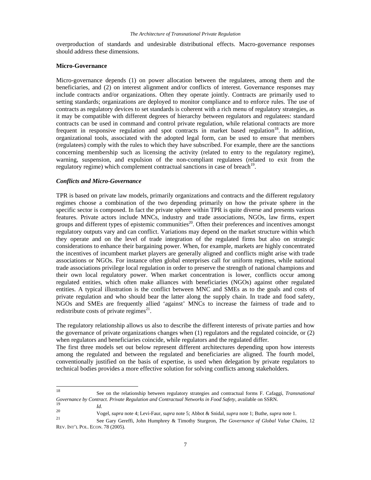overproduction of standards and undesirable distributional effects. Macro-governance responses should address these dimensions.

#### **Micro-Governance**

Micro-governance depends (1) on power allocation between the regulatees, among them and the beneficiaries, and (2) on interest alignment and/or conflicts of interest. Governance responses may include contracts and/or organizations. Often they operate jointly. Contracts are primarily used to setting standards; organizations are deployed to monitor compliance and to enforce rules. The use of contracts as regulatory devices to set standards is coherent with a rich menu of regulatory strategies, as it may be compatible with different degrees of hierarchy between regulators and regulatees: standard contracts can be used in command and control private regulation, while relational contracts are more frequent in responsive regulation and spot contracts in market based regulation<sup>18</sup>. In addition, organizational tools, associated with the adopted legal form, can be used to ensure that members (regulatees) comply with the rules to which they have subscribed. For example, there are the sanctions concerning membership such as licensing the activity (related to entry to the regulatory regime), warning, suspension, and expulsion of the non-compliant regulatees (related to exit from the regulatory regime) which complement contractual sanctions in case of breach<sup>19</sup>.

# *Conflicts and Micro-Governance*

TPR is based on private law models, primarily organizations and contracts and the different regulatory regimes choose a combination of the two depending primarily on how the private sphere in the specific sector is composed. In fact the private sphere within TPR is quite diverse and presents various features. Private actors include MNCs, industry and trade associations, NGOs, law firms, expert groups and different types of epistemic communities<sup>20</sup>. Often their preferences and incentives amongst regulatory outputs vary and can conflict. Variations may depend on the market structure within which they operate and on the level of trade integration of the regulated firms but also on strategic considerations to enhance their bargaining power. When, for example, markets are highly concentrated the incentives of incumbent market players are generally aligned and conflicts might arise with trade associations or NGOs. For instance often global enterprises call for uniform regimes, while national trade associations privilege local regulation in order to preserve the strength of national champions and their own local regulatory power. When market concentration is lower, conflicts occur among regulated entities, which often make alliances with beneficiaries (NGOs) against other regulated entities. A typical illustration is the conflict between MNC and SMEs as to the goals and costs of private regulation and who should bear the latter along the supply chain. In trade and food safety, NGOs and SMEs are frequently allied 'against' MNCs to increase the fairness of trade and to redistribute costs of private regimes $^{21}$ .

The regulatory relationship allows us also to describe the different interests of private parties and how the governance of private organizations changes when (1) regulators and the regulated coincide, or (2) when regulators and beneficiaries coincide, while regulators and the regulated differ.

The first three models set out below represent different architectures depending upon how interests among the regulated and between the regulated and beneficiaries are aligned. The fourth model, conventionally justified on the basis of expertise, is used when delegation by private regulators to technical bodies provides a more effective solution for solving conflicts among stakeholders.

 $18\,$ 18 See on the relationship between regulatory strategies and contractual forms F. Cafaggi*, Transnational*  Governance by Contract. Private Regulation and Contractual Networks in Food Safety, available on SSRN.

<sup>19&</sup>lt;br>20 Vogel, *supra* note 4; Levi-Faur, *supra* note 5; Abbot & Snidal, *supra* note 1; Buthe, *supra* note 1.<br>21 See Gary Gereffi, John Humphrey & Timothy Sturgeon, *The Governance of Global Value Chains*, 12 REV. INT'L POL. ECON. 78 (2005).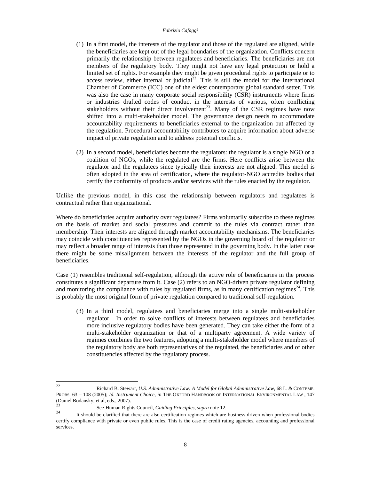- (1) In a first model, the interests of the regulator and those of the regulated are aligned, while the beneficiaries are kept out of the legal boundaries of the organization. Conflicts concern primarily the relationship between regulatees and beneficiaries. The beneficiaries are not members of the regulatory body. They might not have any legal protection or hold a limited set of rights. For example they might be given procedural rights to participate or to access review, either internal or judicial<sup>22</sup>. This is still the model for the International Chamber of Commerce (ICC) one of the eldest contemporary global standard setter. This was also the case in many corporate social responsibility (CSR) instruments where firms or industries drafted codes of conduct in the interests of various, often conflicting stakeholders without their direct involvement<sup>23</sup>. Many of the CSR regimes have now shifted into a multi-stakeholder model. The governance design needs to accommodate accountability requirements to beneficiaries external to the organization but affected by the regulation. Procedural accountability contributes to acquire information about adverse impact of private regulation and to address potential conflicts.
- (2) In a second model, beneficiaries become the regulators: the regulator is a single NGO or a coalition of NGOs, while the regulated are the firms. Here conflicts arise between the regulator and the regulatees since typically their interests are not aligned. This model is often adopted in the area of certification, where the regulator-NGO accredits bodies that certify the conformity of products and/or services with the rules enacted by the regulator.

Unlike the previous model, in this case the relationship between regulators and regulatees is contractual rather than organizational.

Where do beneficiaries acquire authority over regulatees? Firms voluntarily subscribe to these regimes on the basis of market and social pressures and commit to the rules via contract rather than membership. Their interests are aligned through market accountability mechanisms. The beneficiaries may coincide with constituencies represented by the NGOs in the governing board of the regulator or may reflect a broader range of interests than those represented in the governing body. In the latter case there might be some misalignment between the interests of the regulator and the full group of beneficiaries.

Case (1) resembles traditional self-regulation, although the active role of beneficiaries in the process constitutes a significant departure from it. Case (2) refers to an NGO-driven private regulator defining and monitoring the compliance with rules by regulated firms, as in many certification regimes<sup>24</sup>. This is probably the most original form of private regulation compared to traditional self-regulation.

(3) In a third model, regulatees and beneficiaries merge into a single multi-stakeholder regulator. In order to solve conflicts of interests between regulatees and beneficiaries more inclusive regulatory bodies have been generated. They can take either the form of a multi-stakeholder organization or that of a multiparty agreement. A wide variety of regimes combines the two features, adopting a multi-stakeholder model where members of the regulatory body are both representatives of the regulated, the beneficiaries and of other constituencies affected by the regulatory process.

 $22$ 

<sup>22</sup> Richard B. Stewart, *U.S. Administrative Law: A Model for Global Administrative Law*, 68 L. & CONTEMP. PROBS. 63 – 108 (2005); *Id. Instrument Choice, in* THE OXFORD HANDBOOK OF INTERNATIONAL ENVIRONMENTAL LAW , 147 (Daniel Bodansky, et al, eds., 2007).

<sup>&</sup>lt;sup>23</sup><br><sup>24</sup> It should be clarified that there are also certification regimes which are business driven when professional bodies certify compliance with private or even public rules. This is the case of credit rating agencies, accounting and professional services.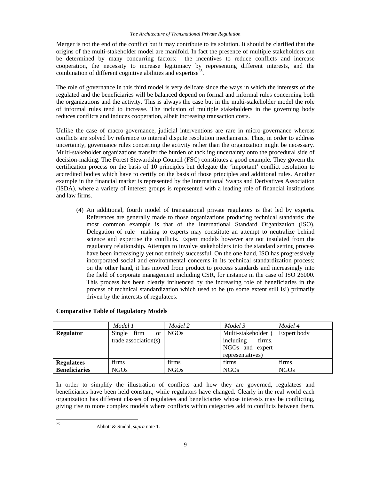Merger is not the end of the conflict but it may contribute to its solution. It should be clarified that the origins of the multi-stakeholder model are manifold. In fact the presence of multiple stakeholders can be determined by many concurring factors: the incentives to reduce conflicts and increase cooperation, the necessity to increase legitimacy by representing different interests, and the combination of different cognitive abilities and expertise<sup>25</sup>.

The role of governance in this third model is very delicate since the ways in which the interests of the regulated and the beneficiaries will be balanced depend on formal and informal rules concerning both the organizations and the activity. This is always the case but in the multi-stakeholder model the role of informal rules tend to increase. The inclusion of multiple stakeholders in the governing body reduces conflicts and induces cooperation, albeit increasing transaction costs.

Unlike the case of macro-governance, judicial interventions are rare in micro-governance whereas conflicts are solved by reference to internal dispute resolution mechanisms. Thus, in order to address uncertainty, governance rules concerning the activity rather than the organization might be necessary. Multi-stakeholder organizations transfer the burden of tackling uncertainty onto the procedural side of decision-making. The Forest Stewardship Council (FSC) constitutes a good example. They govern the certification process on the basis of 10 principles but delegate the 'important' conflict resolution to accredited bodies which have to certify on the basis of those principles and additional rules. Another example in the financial market is represented by the International Swaps and Derivatives Association (ISDA), where a variety of interest groups is represented with a leading role of financial institutions and law firms.

(4) An additional, fourth model of transnational private regulators is that led by experts. References are generally made to those organizations producing technical standards: the most common example is that of the International Standard Organization (ISO). Delegation of rule –making to experts may constitute an attempt to neutralize behind science and expertise the conflicts. Expert models however are not insulated from the regulatory relationship. Attempts to involve stakeholders into the standard setting process have been increasingly yet not entirely successful. On the one hand, ISO has progressively incorporated social and environmental concerns in its technical standardization process; on the other hand, it has moved from product to process standards and increasingly into the field of corporate management including CSR, for instance in the case of ISO 26000. This process has been clearly influenced by the increasing role of beneficiaries in the process of technical standardization which used to be (to some extent still is!) primarily driven by the interests of regulatees.

|                      | Model 1                  | Model 2          | Model 3             | Model 4     |
|----------------------|--------------------------|------------------|---------------------|-------------|
| <b>Regulator</b>     | Single firm<br><b>or</b> | NGO <sub>s</sub> | Multi-stakeholder   | Expert body |
|                      | trade association( $s$ ) |                  | firms,<br>including |             |
|                      |                          |                  | NGOs and expert     |             |
|                      |                          |                  | representatives)    |             |
| <b>Regulatees</b>    | firms                    | firms            | firms               | firms       |
| <b>Beneficiaries</b> | NGO <sub>s</sub>         | <b>NGOs</b>      | <b>NGOs</b>         | <b>NGOs</b> |

# **Comparative Table of Regulatory Models**

In order to simplify the illustration of conflicts and how they are governed, regulatees and beneficiaries have been held constant, while regulators have changed. Clearly in the real world each organization has different classes of regulatees and beneficiaries whose interests may be conflicting, giving rise to more complex models where conflicts within categories add to conflicts between them.

<sup>25</sup> 

<sup>25</sup> Abbott & Snidal, *supra* note 1.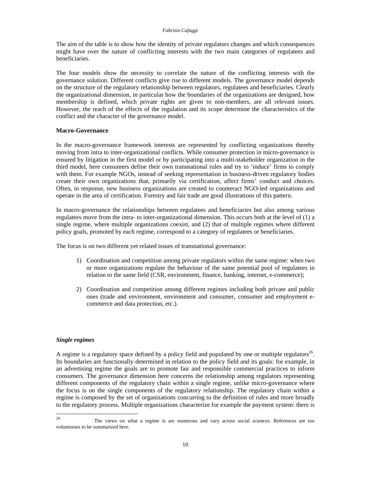The aim of the table is to show how the identity of private regulators changes and which consequences might have over the nature of conflicting interests with the two main categories of regulatees and beneficiaries.

The four models show the necessity to correlate the nature of the conflicting interests with the governance solution. Different conflicts give rise to different models. The governance model depends on the structure of the regulatory relationship between regulators, regulatees and beneficiaries. Clearly the organizational dimension, in particular how the boundaries of the organizations are designed, how membership is defined, which private rights are given to non-members, are all relevant issues. However, the reach of the effects of the regulation and its scope determine the characteristics of the conflict and the character of the governance model.

# **Macro-Governance**

In the macro-governance framework interests are represented by conflicting organizations thereby moving from intra to inter-organizational conflicts. While consumer protection in micro-governance is ensured by litigation in the first model or by participating into a multi-stakeholder organization in the third model, here consumers define their own transnational rules and try to 'induce' firms to comply with them. For example NGOs, instead of seeking representation in business-driven regulatory bodies create their own organizations that, primarily via certification, affect firms' conduct and choices. Often, in response, new business organizations are created to counteract NGO-led organizations and operate in the area of certification. Forestry and fair trade are good illustrations of this pattern.

In macro-governance the relationships between regulatees and beneficiaries but also among various regulatees move from the intra- to inter-organizational dimension. This occurs both at the level of (1) a single regime, where multiple organizations coexist, and (2) that of multiple regimes where different policy goals, promoted by each regime, correspond to a category of regulatees or beneficiaries.

The focus is on two different yet related issues of transnational governance:

- 1) Coordination and competition among private regulators within the same regime: when two or more organizations regulate the behaviour of the same potential pool of regulatees in relation to the same field (CSR, environment, finance, banking, internet, e-commerce);
- 2) Coordination and competition among different regimes including both private and public ones (trade and environment, environment and consumer, consumer and employment ecommerce and data protection, etc.).

# *Single regimes*

A regime is a regulatory space defined by a policy field and populated by one or multiple regulators<sup>26</sup>. Its boundaries are functionally determined in relation to the policy field and its goals: for example, in an advertising regime the goals are to promote fair and responsible commercial practices to inform consumers. The governance dimension here concerns the relationship among regulators representing different components of the regulatory chain within a single regime, unlike micro-governance where the focus is on the single components of the regulatory relationship. The regulatory chain within a regime is composed by the set of organizations concurring to the definition of rules and more broadly to the regulatory process. Multiple organizations characterize for example the payment system: there is

<sup>26</sup> 26 The views on what a regime is are numerous and vary across social sciences. References are too voluminous to be summarized here.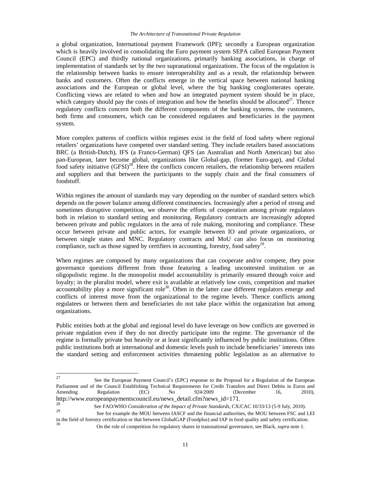a global organization, International payment Framework (IPF); secondly a European organization which is heavily involved in consolidating the Euro payment system SEPA called European Payment Council (EPC) and thirdly national organizations, primarily banking associations, in charge of implementation of standards set by the two supranational organizations. The focus of the regulation is the relationship between banks to ensure interoperability and as a result, the relationship between banks and customers. Often the conflicts emerge in the vertical space between national banking associations and the European or global level, where the big banking conglomerates operate. Conflicting views are related to when and how an integrated payment system should be in place, which category should pay the costs of integration and how the benefits should be allocated<sup>27</sup>. Thence regulatory conflicts concern both the different components of the banking systems, the customers, both firms and consumers, which can be considered regulatees and beneficiaries in the payment system.

More complex patterns of conflicts within regimes exist in the field of food safety where regional retailers' organizations have competed over standard setting. They include retailers based associations BRC (a British-Dutch), IFS (a Franco-German) QFS (an Australian and North American) but also pan-European, later become global, organizations like Global-gap, (former Euro-gap), and Global food safety initiative  $(GFSI)^{28}$ . Here the conflicts concern retailers, the relationship between retailers and suppliers and that between the participants to the supply chain and the final consumers of foodstuff.

Within regimes the amount of standards may vary depending on the number of standard setters which depends on the power balance among different constituencies. Increasingly after a period of strong and sometimes disruptive competition, we observe the efforts of cooperation among private regulators both in relation to standard setting and monitoring. Regulatory contracts are increasingly adopted between private and public regulators in the area of rule making, monitoring and compliance. These occur between private and public actors, for example between IO and private organizations, or between single states and MNC. Regulatory contracts and MoU can also focus on monitoring compliance, such as those signed by certifiers in accounting, forestry, food safety<sup>29</sup>.

When regimes are composed by many organizations that can cooperate and/or compete, they pose governance questions different from those featuring a leading uncontested institution or an oligopolistic regime. In the monopolist model accountability is primarily ensured through voice and loyalty; in the pluralist model, where exit is available at relatively low costs, competition and market accountability play a more significant role<sup>30</sup>. Often in the latter case different regulators emerge and conflicts of interest move from the organizational to the regime levels. Thence conflicts among regulatees or between them and beneficiaries do not take place within the organization but among organizations.

Public entities both at the global and regional level do have leverage on how conflicts are governed in private regulation even if they do not directly participate into the regime. The governance of the regime is formally private but heavily or at least significantly influenced by public institutions. Often public institutions both at international and domestic levels push to include beneficiaries' interests into the standard setting and enforcement activities threatening public legislation as an alternative to

<sup>27</sup> 27 See the European Payment Council's (EPC) response to the Proposal for a Regulation of the European Parliament and of the Council Establishing Technical Requirements for Credit Transfers and Direct Debits in Euros and Amending Regulation (EC) No 924/2009 (December 16, 2010),

http://www.europeanpaymentscouncil.eu/news\_detail.cfm?news\_id=171.<br><sup>28</sup> See FAO/WHO *Consideration of the Impact of Private Standards*, CX/CAC 10/33/13 (5-9 July, 2010).

See for example the MOU between IASCF and the financial authorities, the MOU between FSC and LEI in the field of forestry certification or that between GlobalGAP (Foodplus) and IAP in food quality and safety certification.

<sup>30</sup> On the role of competition for regulatory shares in transnational governance, see Black, *supra* note 1.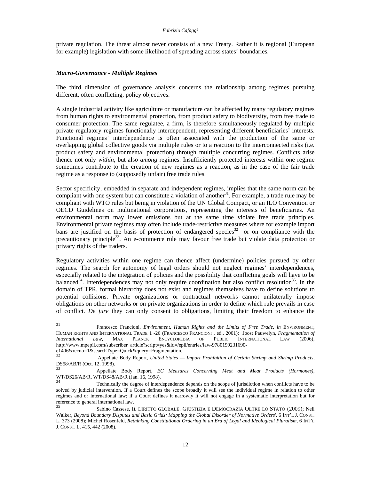private regulation. The threat almost never consists of a new Treaty. Rather it is regional (European for example) legislation with some likelihood of spreading across states' boundaries.

# *Macro-Governance - Multiple Regimes*

The third dimension of governance analysis concerns the relationship among regimes pursuing different, often conflicting, policy objectives.

A single industrial activity like agriculture or manufacture can be affected by many regulatory regimes from human rights to environmental protection, from product safety to biodiversity, from free trade to consumer protection. The same regulatee, a firm, is therefore simultaneously regulated by multiple private regulatory regimes functionally interdependent, representing different beneficiaries' interests. Functional regimes' interdependence is often associated with the production of the same or overlapping global collective goods via multiple rules or to a reaction to the interconnected risks (i.e. product safety and environmental protection) through multiple concurring regimes. Conflicts arise thence not only *within*, but also *among* regimes. Insufficiently protected interests within one regime sometimes contribute to the creation of new regimes as a reaction, as in the case of the fair trade regime as a response to (supposedly unfair) free trade rules.

Sector specificity, embedded in separate and independent regimes, implies that the same norm can be compliant with one system but can constitute a violation of another $31$ . For example, a trade rule may be compliant with WTO rules but being in violation of the UN Global Compact, or an ILO Convention or OECD Guidelines on multinational corporations, representing the interests of beneficiaries. An environmental norm may lower emissions but at the same time violate free trade principles. Environmental private regimes may often include trade-restrictive measures where for example import bans are justified on the basis of protection of endangered species<sup>32</sup> or on compliance with the precautionary principle33. An e-commerce rule may favour free trade but violate data protection or privacy rights of the traders.

Regulatory activities within one regime can thence affect (undermine) policies pursued by other regimes. The search for autonomy of legal orders should not neglect regimes' interdependences, especially related to the integration of policies and the possibility that conflicting goals will have to be balanced<sup>34</sup>. Interdependences may not only require coordination but also conflict resolution<sup>35</sup>. In the domain of TPR, formal hierarchy does not exist and regimes themselves have to define solutions to potential collisions. Private organizations or contractual networks cannot unilaterally impose obligations on other networks or on private organizations in order to define which rule prevails in case of conflict. *De jure* they can only consent to obligations, limiting their freedom to enhance the

<sup>31</sup> 31 Francesco Francioni, *Environment, Human Rights and the Limits of Free Trade, in* ENVIRONMENT, HUMAN RIGHTS AND INTERNATIONAL TRADE 1 -26 (FRANCESCO FRANCIONI , ed., 2001); Joost Pauwelyn, *Fragmentation of International Law*, MAX PLANCK ENCYCLOPEDIA OF PUBLIC INTERNATIONAL LAW (2006), http://www.mpepil.com/subscriber\_article?script=yes&id=/epil/entries/law-9780199231690 e1406&recno=1&searchType=Quick&query=Fragmentation.

<sup>32</sup> Appellate Body Report, *United States — Import Prohibition of Certain Shrimp and Shrimp Products*, DS58/AB/R (Oct. 12, 1998).

<sup>33</sup> Appellate Body Report, *EC Measures Concerning Meat and Meat Products (Hormones)*, WT/DS26/AB/R, WT/DS48/AB/R (Jan. 16, 1998).

<sup>34</sup> Technically the degree of interdependence depends on the scope of jurisdiction when conflicts have to be solved by judicial intervention. If a Court defines the scope broadly it will see the individual regime in relation to other regimes and or international law; if a Court defines it narrowly it will not engage in a systematic interpretation but for reference to general international law.<br>35

<sup>35</sup> Sabino Cassese, IL DIRITTO GLOBALE. GIUSTIZIA E DEMOCRAZIA OLTRE LO STATO (2009); Neil Walker, *Beyond Boundary Disputes and Basic Grids: Mapping the Global Disorder of Normative Orders*', 6 INT'L J. CONST. L. 373 (2008); Michel Rosenfeld, *Rethinking Constitutional Ordering in an Era of Legal and Ideological Pluralism*, 6 INT'L J. CONST. L. 415, 442 (2008).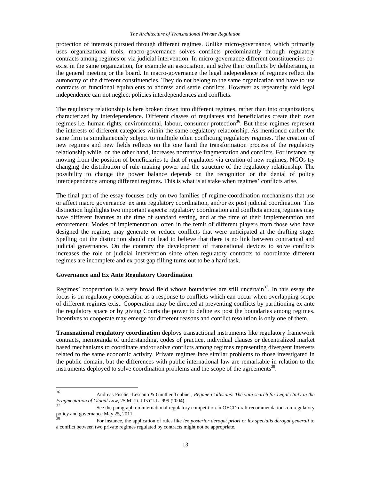#### *The Architecture of Transnational Private Regulation*

protection of interests pursued through different regimes. Unlike micro-governance, which primarily uses organizational tools, macro-governance solves conflicts predominantly through regulatory contracts among regimes or via judicial intervention. In micro-governance different constituencies coexist in the same organization, for example an association, and solve their conflicts by deliberating in the general meeting or the board. In macro-governance the legal independence of regimes reflect the autonomy of the different constituencies. They do not belong to the same organization and have to use contracts or functional equivalents to address and settle conflicts. However as repeatedly said legal independence can not neglect policies interdependences and conflicts.

The regulatory relationship is here broken down into different regimes, rather than into organizations, characterized by interdependence. Different classes of regulatees and beneficiaries create their own regimes i.e. human rights, environmental, labour, consumer protection<sup>36</sup>. But these regimes represent the interests of different categories within the same regulatory relationship. As mentioned earlier the same firm is simultaneously subject to multiple often conflicting regulatory regimes. The creation of new regimes and new fields reflects on the one hand the transformation process of the regulatory relationship while, on the other hand, increases normative fragmentation and conflicts. For instance by moving from the position of beneficiaries to that of regulators via creation of new regimes, NGOs try changing the distribution of rule-making power and the structure of the regulatory relationship. The possibility to change the power balance depends on the recognition or the denial of policy interdependency among different regimes. This is what is at stake when regimes' conflicts arise.

The final part of the essay focuses only on two families of regime-coordination mechanisms that use or affect macro governance: ex ante regulatory coordination, and/or ex post judicial coordination. This distinction highlights two important aspects: regulatory coordination and conflicts among regimes may have different features at the time of standard setting, and at the time of their implementation and enforcement. Modes of implementation, often in the remit of different players from those who have designed the regime, may generate or reduce conflicts that were anticipated at the drafting stage. Spelling out the distinction should not lead to believe that there is no link between contractual and judicial governance. On the contrary the development of transnational devices to solve conflicts increases the role of judicial intervention since often regulatory contracts to coordinate different regimes are incomplete and ex post gap filling turns out to be a hard task.

#### **Governance and Ex Ante Regulatory Coordination**

Regimes' cooperation is a very broad field whose boundaries are still uncertain<sup>37</sup>. In this essay the focus is on regulatory cooperation as a response to conflicts which can occur when overlapping scope of different regimes exist. Cooperation may be directed at preventing conflicts by partitioning ex ante the regulatory space or by giving Courts the power to define ex post the boundaries among regimes. Incentives to cooperate may emerge for different reasons and conflict resolution is only one of them.

**Transnational regulatory coordination** deploys transactional instruments like regulatory framework contracts, memoranda of understanding, codes of practice, individual clauses or decentralized market based mechanisms to coordinate and/or solve conflicts among regimes representing divergent interests related to the same economic activity. Private regimes face similar problems to those investigated in the public domain, but the differences with public international law are remarkable in relation to the instruments deployed to solve coordination problems and the scope of the agreements<sup>38</sup>.

<sup>36</sup> 

<sup>36</sup> Andreas Fischer-Lescano & Gunther Teubner, *Regime-Collisions: The vain search for Legal Unity in the Fragmentation of Global Law*, 25 MICH. J.INT'L L. 999 (2004).

<sup>&</sup>lt;sup>37</sup><br>See the paragraph on international regulatory competition in OECD draft recommendations on regulatory<br> $\frac{38}{38}$ 

For instance, the application of rules like *lex posterior derogat priori* or *lex specialis derogat generali* to a conflict between two private regimes regulated by contracts might not be appropriate.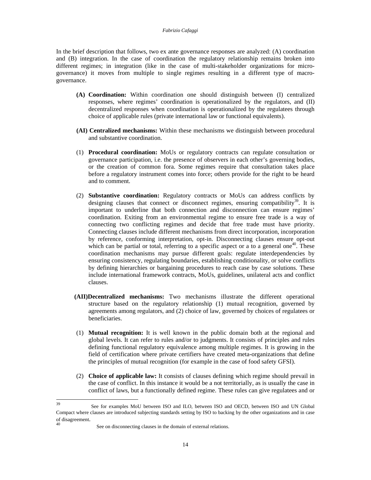In the brief description that follows, two ex ante governance responses are analyzed: (A) coordination and (B) integration. In the case of coordination the regulatory relationship remains broken into different regimes; in integration (like in the case of multi-stakeholder organizations for microgovernance) it moves from multiple to single regimes resulting in a different type of macrogovernance.

- **(A) Coordination:** Within coordination one should distinguish between (I) centralized responses, where regimes' coordination is operationalized by the regulators, and (II) decentralized responses when coordination is operationalized by the regulatees through choice of applicable rules (private international law or functional equivalents).
- **(AI) Centralized mechanisms:** Within these mechanisms we distinguish between procedural and substantive coordination.
- (1) **Procedural coordination:** MoUs or regulatory contracts can regulate consultation or governance participation, i.e. the presence of observers in each other's governing bodies, or the creation of common fora. Some regimes require that consultation takes place before a regulatory instrument comes into force; others provide for the right to be heard and to comment.
- (2) **Substantive coordination:** Regulatory contracts or MoUs can address conflicts by designing clauses that connect or disconnect regimes, ensuring compatibility<sup>39</sup>. It is important to underline that both connection and disconnection can ensure regimes' coordination. Exiting from an environmental regime to ensure free trade is a way of connecting two conflicting regimes and decide that free trade must have priority. Connecting clauses include different mechanisms from direct incorporation, incorporation by reference, conforming interpretation, opt-in. Disconnecting clauses ensure opt-out which can be partial or total, referring to a specific aspect or a to a general one<sup>40</sup>. These coordination mechanisms may pursue different goals: regulate interdependencies by ensuring consistency, regulating boundaries, establishing conditionality, or solve conflicts by defining hierarchies or bargaining procedures to reach case by case solutions. These include international framework contracts, MoUs, guidelines, unilateral acts and conflict clauses.
- **(AII)Decentralized mechanisms:** Two mechanisms illustrate the different operational structure based on the regulatory relationship (1) mutual recognition, governed by agreements among regulators, and (2) choice of law, governed by choices of regulatees or beneficiaries.
- (1) **Mutual recognition:** It is well known in the public domain both at the regional and global levels. It can refer to rules and/or to judgments. It consists of principles and rules defining functional regulatory equivalence among multiple regimes. It is growing in the field of certification where private certifiers have created meta-organizations that define the principles of mutual recognition (for example in the case of food safety GFSI).
- (2) **Choice of applicable law:** It consists of clauses defining which regime should prevail in the case of conflict. In this instance it would be a not territorially, as is usually the case in conflict of laws, but a functionally defined regime. These rules can give regulatees and or

 $39$ 39 See for examples MoU between ISO and ILO, between ISO and OECD, between ISO and UN Global Compact where clauses are introduced subjecting standards setting by ISO to backing by the other organizations and in case<br>of disagreement.

See on disconnecting clauses in the domain of external relations.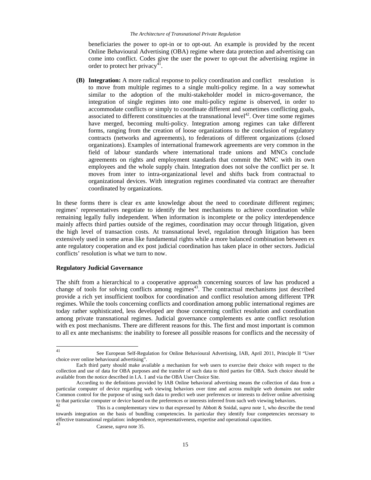beneficiaries the power to opt-in or to opt-out. An example is provided by the recent Online Behavioural Advertising (OBA) regime where data protection and advertising can come into conflict. Codes give the user the power to opt-out the advertising regime in order to protect her privacy<sup>41</sup>.

**(B) Integration:** A more radical response to policy coordination and conflict resolution is to move from multiple regimes to a single multi-policy regime. In a way somewhat similar to the adoption of the multi-stakeholder model in micro-governance, the integration of single regimes into one multi-policy regime is observed, in order to accommodate conflicts or simply to coordinate different and sometimes conflicting goals, associated to different constituencies at the transnational level<sup>42</sup>. Over time some regimes have merged, becoming multi-policy. Integration among regimes can take different forms, ranging from the creation of loose organizations to the conclusion of regulatory contracts (networks and agreements), to federations of different organizations (closed organizations). Examples of international framework agreements are very common in the field of labour standards where international trade unions and MNCs conclude agreements on rights and employment standards that commit the MNC with its own employees and the whole supply chain. Integration does not solve the conflict per se. It moves from inter to intra-organizational level and shifts back from contractual to organizational devices. With integration regimes coordinated via contract are thereafter coordinated by organizations.

In these forms there is clear ex ante knowledge about the need to coordinate different regimes; regimes' representatives negotiate to identify the best mechanisms to achieve coordination while remaining legally fully independent. When information is incomplete or the policy interdependence mainly affects third parties outside of the regimes, coordination may occur through litigation, given the high level of transaction costs. At transnational level, regulation through litigation has been extensively used in some areas like fundamental rights while a more balanced combination between ex ante regulatory cooperation and ex post judicial coordination has taken place in other sectors. Judicial conflicts' resolution is what we turn to now.

# **Regulatory Judicial Governance**

The shift from a hierarchical to a cooperative approach concerning sources of law has produced a change of tools for solving conflicts among regimes<sup>43</sup>. The contractual mechanisms just described provide a rich yet insufficient toolbox for coordination and conflict resolution among different TPR regimes. While the tools concerning conflicts and coordination among public international regimes are today rather sophisticated, less developed are those concerning conflict resolution and coordination among private transnational regimes. Judicial governance complements ex ante conflict resolution with ex post mechanisms. There are different reasons for this. The first and most important is common to all ex ante mechanisms: the inability to foresee all possible reasons for conflicts and the necessity of

 $41$ See European Self-Regulation for Online Behavioural Advertising, IAB, April 2011, Principle II "User choice over online behavioural advertising".

Each third party should make available a mechanism for web users to exercise their choice with respect to the collection and use of data for OBA purposes and the transfer of such data to third parties for OBA. Such choice should be available from the notice described in I.A. 1 and via the OBA User Choice Site.

According to the definitions provided by IAB Online behavioral advertising means the collection of data from a particular computer of device regarding web viewing behaviors over time and across multiple web domains not under Common control for the purpose of using such data to predict web user preferences or interests to deliver online advertising to that particular computer or device based on the preferences or interests inferred from such web viewing behaviors.<br>
This is a complementary view to that expressed by Abbott & Snidal, *supra* note 1, who describe the tre

towards integration on the basis of bundling competencies. In particular they identify four competencies necessary to effective transnational regulation: independence, representativeness, expertise and operational capacities.

<sup>43</sup> Cassese, *supra* note 35.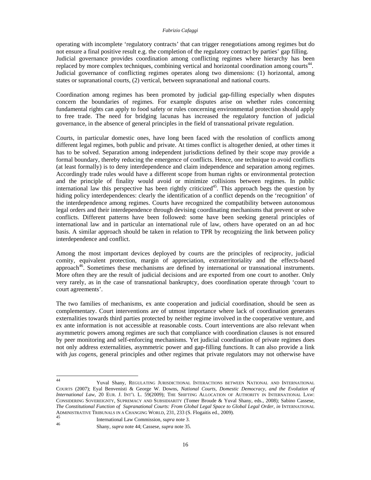operating with incomplete 'regulatory contracts' that can trigger renegotiations among regimes but do not ensure a final positive result e.g. the completion of the regulatory contract by parties' gap filling. Judicial governance provides coordination among conflicting regimes where hierarchy has been replaced by more complex techniques, combining vertical and horizontal coordination among courts<sup>44</sup>. Judicial governance of conflicting regimes operates along two dimensions: (1) horizontal, among states or supranational courts, (2) vertical, between supranational and national courts.

Coordination among regimes has been promoted by judicial gap-filling especially when disputes concern the boundaries of regimes. For example disputes arise on whether rules concerning fundamental rights can apply to food safety or rules concerning environmental protection should apply to free trade. The need for bridging lacunas has increased the regulatory function of judicial governance, in the absence of general principles in the field of transnational private regulation.

Courts, in particular domestic ones, have long been faced with the resolution of conflicts among different legal regimes, both public and private. At times conflict is altogether denied, at other times it has to be solved. Separation among independent jurisdictions defined by their scope may provide a formal boundary, thereby reducing the emergence of conflicts. Hence, one technique to avoid conflicts (at least formally) is to deny interdependence and claim independence and separation among regimes. Accordingly trade rules would have a different scope from human rights or environmental protection and the principle of finality would avoid or minimize collisions between regimes. In public international law this perspective has been rightly criticized<sup>45</sup>. This approach begs the question by hiding policy interdependences: clearly the identification of a conflict depends on the 'recognition' of the interdependence among regimes. Courts have recognized the compatibility between autonomous legal orders and their interdependence through devising coordinating mechanisms that prevent or solve conflicts. Different patterns have been followed: some have been seeking general principles of international law and in particular an international rule of law, others have operated on an ad hoc basis. A similar approach should be taken in relation to TPR by recognizing the link between policy interdependence and conflict.

Among the most important devices deployed by courts are the principles of reciprocity, judicial comity, equivalent protection, margin of appreciation, extraterritoriality and the effects-based approach46. Sometimes these mechanisms are defined by international or transnational instruments. More often they are the result of judicial decisions and are exported from one court to another. Only very rarely, as in the case of transnational bankruptcy, does coordination operate through 'court to court agreements'.

The two families of mechanisms, ex ante cooperation and judicial coordination, should be seen as complementary. Court interventions are of utmost importance where lack of coordination generates externalities towards third parties protected by neither regime involved in the cooperative venture, and ex ante information is not accessible at reasonable costs. Court interventions are also relevant when asymmetric powers among regimes are such that compliance with coordination clauses is not ensured by peer monitoring and self-enforcing mechanisms. Yet judicial coordination of private regimes does not only address externalities, asymmetric power and gap-filling functions. It can also provide a link with *jus cogens*, general principles and other regimes that private regulators may not otherwise have

 $44$ 44 Yuval Shany, REGULATING JURISDICTIONAL INTERACTIONS BETWEEN NATIONAL AND INTERNATIONAL COURTS (2007); Eyal Benvenisti & George W. Downs, *National Courts, Domestic Democracy, and the Evolution of International Law*, 20 EUR. J. INT'L L. 59(2009); THE SHIFTING ALLOCATION OF AUTHORITY IN INTERNATIONAL LAW: CONSIDERING SOVEREIGNTY, SUPREMACY AND SUBSIDIARITY (Tomer Broude & Yuval Shany, eds., 2008); Sabino Cassese, *The Constitutional Function of Supranational Courts: From Global Legal Space to Global Legal Order, in* INTERNATIONAL ADMINISTRATIVE TRIBUNALS IN A CHANGING WORLD, 231, 233 (S. Flogaitis ed., 2009).

<sup>45</sup> International Law Commission, *supra* note 3.<br>46 Shows supported 44 General agents 25 46 Shany, *supra* note 44; Cassese, *supra* note 35.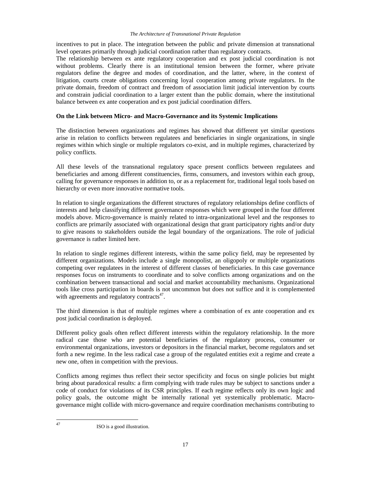incentives to put in place. The integration between the public and private dimension at transnational level operates primarily through judicial coordination rather than regulatory contracts.

The relationship between ex ante regulatory cooperation and ex post judicial coordination is not without problems. Clearly there is an institutional tension between the former, where private regulators define the degree and modes of coordination, and the latter, where, in the context of litigation, courts create obligations concerning loyal cooperation among private regulators. In the private domain, freedom of contract and freedom of association limit judicial intervention by courts and constrain judicial coordination to a larger extent than the public domain, where the institutional balance between ex ante cooperation and ex post judicial coordination differs.

# **On the Link between Micro- and Macro-Governance and its Systemic Implications**

The distinction between organizations and regimes has showed that different yet similar questions arise in relation to conflicts between regulatees and beneficiaries in single organizations, in single regimes within which single or multiple regulators co-exist, and in multiple regimes, characterized by policy conflicts.

All these levels of the transnational regulatory space present conflicts between regulatees and beneficiaries and among different constituencies, firms, consumers, and investors within each group, calling for governance responses in addition to, or as a replacement for, traditional legal tools based on hierarchy or even more innovative normative tools.

In relation to single organizations the different structures of regulatory relationships define conflicts of interests and help classifying different governance responses which were grouped in the four different models above. Micro-governance is mainly related to intra-organizational level and the responses to conflicts are primarily associated with organizational design that grant participatory rights and/or duty to give reasons to stakeholders outside the legal boundary of the organizations. The role of judicial governance is rather limited here.

In relation to single regimes different interests, within the same policy field, may be represented by different organizations. Models include a single monopolist, an oligopoly or multiple organizations competing over regulatees in the interest of different classes of beneficiaries. In this case governance responses focus on instruments to coordinate and to solve conflicts among organizations and on the combination between transactional and social and market accountability mechanisms. Organizational tools like cross participation in boards is not uncommon but does not suffice and it is complemented with agreements and regulatory contracts $47$ .

The third dimension is that of multiple regimes where a combination of ex ante cooperation and ex post judicial coordination is deployed.

Different policy goals often reflect different interests within the regulatory relationship. In the more radical case those who are potential beneficiaries of the regulatory process, consumer or environmental organizations, investors or depositors in the financial market, become regulators and set forth a new regime. In the less radical case a group of the regulated entities exit a regime and create a new one, often in competition with the previous.

Conflicts among regimes thus reflect their sector specificity and focus on single policies but might bring about paradoxical results: a firm complying with trade rules may be subject to sanctions under a code of conduct for violations of its CSR principles. If each regime reflects only its own logic and policy goals, the outcome might be internally rational yet systemically problematic. Macrogovernance might collide with micro-governance and require coordination mechanisms contributing to

47

ISO is a good illustration.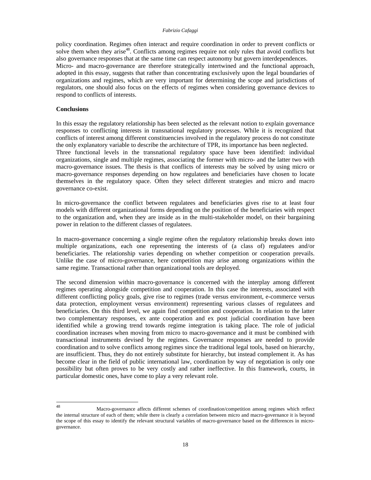policy coordination. Regimes often interact and require coordination in order to prevent conflicts or solve them when they arise<sup>48</sup>. Conflicts among regimes require not only rules that avoid conflicts but also governance responses that at the same time can respect autonomy but govern interdependences. Micro- and macro-governance are therefore strategically intertwined and the functional approach, adopted in this essay, suggests that rather than concentrating exclusively upon the legal boundaries of organizations and regimes, which are very important for determining the scope and jurisdictions of regulators, one should also focus on the effects of regimes when considering governance devices to respond to conflicts of interests.

# **Conclusions**

In this essay the regulatory relationship has been selected as the relevant notion to explain governance responses to conflicting interests in transnational regulatory processes. While it is recognized that conflicts of interest among different constituencies involved in the regulatory process do not constitute the only explanatory variable to describe the architecture of TPR, its importance has been neglected. Three functional levels in the transnational regulatory space have been identified: individual organizations, single and multiple regimes, associating the former with micro- and the latter two with macro-governance issues. The thesis is that conflicts of interests may be solved by using micro or macro-governance responses depending on how regulatees and beneficiaries have chosen to locate themselves in the regulatory space. Often they select different strategies and micro and macro governance co-exist.

In micro-governance the conflict between regulatees and beneficiaries gives rise to at least four models with different organizational forms depending on the position of the beneficiaries with respect to the organization and, when they are inside as in the multi-stakeholder model, on their bargaining power in relation to the different classes of regulatees.

In macro-governance concerning a single regime often the regulatory relationship breaks down into multiple organizations, each one representing the interests of (a class of) regulatees and/or beneficiaries. The relationship varies depending on whether competition or cooperation prevails. Unlike the case of micro-governance, here competition may arise among organizations within the same regime. Transactional rather than organizational tools are deployed.

The second dimension within macro-governance is concerned with the interplay among different regimes operating alongside competition and cooperation. In this case the interests, associated with different conflicting policy goals, give rise to regimes (trade versus environment, e-commerce versus data protection, employment versus environment) representing various classes of regulatees and beneficiaries. On this third level, we again find competition and cooperation. In relation to the latter two complementary responses, ex ante cooperation and ex post judicial coordination have been identified while a growing trend towards regime integration is taking place. The role of judicial coordination increases when moving from micro to macro-governance and it must be combined with transactional instruments devised by the regimes. Governance responses are needed to provide coordination and to solve conflicts among regimes since the traditional legal tools, based on hierarchy, are insufficient. Thus, they do not entirely substitute for hierarchy, but instead complement it. As has become clear in the field of public international law, coordination by way of negotiation is only one possibility but often proves to be very costly and rather ineffective. In this framework, courts, in particular domestic ones, have come to play a very relevant role.

<sup>48</sup> Macro-governance affects different schemes of coordination/competition among regimes which reflect the internal structure of each of them; while there is clearly a correlation between micro and macro-governance it is beyond the scope of this essay to identify the relevant structural variables of macro-governance based on the differences in microgovernance.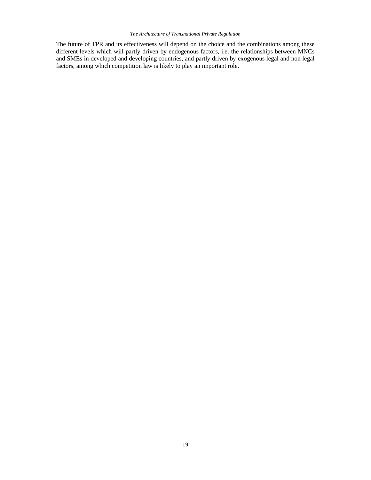# *The Architecture of Transnational Private Regulation*

The future of TPR and its effectiveness will depend on the choice and the combinations among these different levels which will partly driven by endogenous factors, i.e. the relationships between MNCs and SMEs in developed and developing countries, and partly driven by exogenous legal and non legal factors, among which competition law is likely to play an important role.